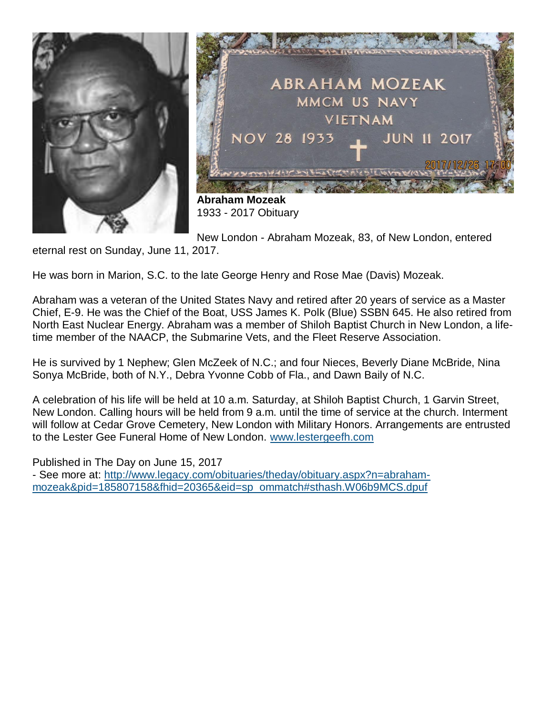



**Abraham Mozeak** 1933 - 2017 Obituary

New London - Abraham Mozeak, 83, of New London, entered

eternal rest on Sunday, June 11, 2017.

He was born in Marion, S.C. to the late George Henry and Rose Mae (Davis) Mozeak.

Abraham was a veteran of the United States Navy and retired after 20 years of service as a Master Chief, E-9. He was the Chief of the Boat, USS James K. Polk (Blue) SSBN 645. He also retired from North East Nuclear Energy. Abraham was a member of Shiloh Baptist Church in New London, a lifetime member of the NAACP, the Submarine Vets, and the Fleet Reserve Association.

He is survived by 1 Nephew; Glen McZeek of N.C.; and four Nieces, Beverly Diane McBride, Nina Sonya McBride, both of N.Y., Debra Yvonne Cobb of Fla., and Dawn Baily of N.C.

A celebration of his life will be held at 10 a.m. Saturday, at Shiloh Baptist Church, 1 Garvin Street, New London. Calling hours will be held from 9 a.m. until the time of service at the church. Interment will follow at Cedar Grove Cemetery, New London with Military Honors. Arrangements are entrusted to the Lester Gee Funeral Home of New London. [www.lestergeefh.com](http://www.lestergeefh.com/)

Published in The Day on June 15, 2017 - See more at: [http://www.legacy.com/obituaries/theday/obituary.aspx?n=abraham](http://www.legacy.com/obituaries/theday/obituary.aspx?n=abraham-mozeak&pid=185807158&fhid=20365&eid=sp_ommatch#sthash.W06b9MCS.dpuf)[mozeak&pid=185807158&fhid=20365&eid=sp\\_ommatch#sthash.W06b9MCS.dpuf](http://www.legacy.com/obituaries/theday/obituary.aspx?n=abraham-mozeak&pid=185807158&fhid=20365&eid=sp_ommatch#sthash.W06b9MCS.dpuf)